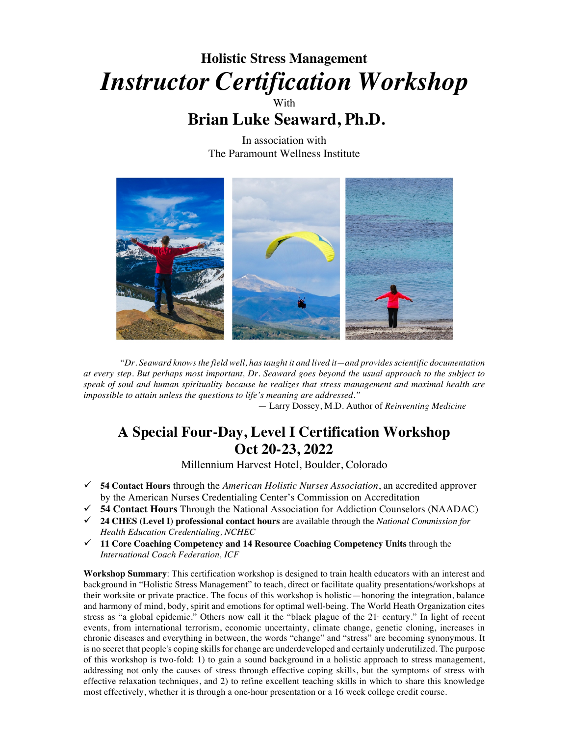# **Holistic Stress Management** *Instructor Certification Workshop* **With**

# **Brian Luke Seaward, Ph.D.**

In association with The Paramount Wellness Institute



*"Dr. Seaward knows the field well, has taught it and lived it—and provides scientific documentation at every step. But perhaps most important, Dr. Seaward goes beyond the usual approach to the subject to speak of soul and human spirituality because he realizes that stress management and maximal health are impossible to attain unless the questions to life's meaning are addressed."*

— Larry Dossey, M.D. Author of *Reinventing Medicine*

# **A Special Four-Day, Level I Certification Workshop Oct 20-23, 2022**

Millennium Harvest Hotel, Boulder, Colorado

- ü **54 Contact Hours** through the *American Holistic Nurses Association*, an accredited approver by the American Nurses Credentialing Center's Commission on Accreditation
- ü **54 Contact Hours** Through the National Association for Addiction Counselors (NAADAC)
- ü **24 CHES (Level I) professional contact hours** are available through the *National Commission for Health Education Credentialing, NCHEC*
- ü **11 Core Coaching Competency and 14 Resource Coaching Competency Units** through the *International Coach Federation, ICF*

**Workshop Summary**: This certification workshop is designed to train health educators with an interest and background in "Holistic Stress Management" to teach, direct or facilitate quality presentations/workshops at their worksite or private practice. The focus of this workshop is holistic—honoring the integration, balance and harmony of mind, body, spirit and emotions for optimal well-being. The World Heath Organization cites stress as "a global epidemic." Others now call it the "black plague of the 21<sup>st</sup> century." In light of recent events, from international terrorism, economic uncertainty, climate change, genetic cloning, increases in chronic diseases and everything in between, the words "change" and "stress" are becoming synonymous. It is no secret that people's coping skills for change are underdeveloped and certainly underutilized. The purpose of this workshop is two-fold: 1) to gain a sound background in a holistic approach to stress management, addressing not only the causes of stress through effective coping skills, but the symptoms of stress with effective relaxation techniques, and 2) to refine excellent teaching skills in which to share this knowledge most effectively, whether it is through a one-hour presentation or a 16 week college credit course.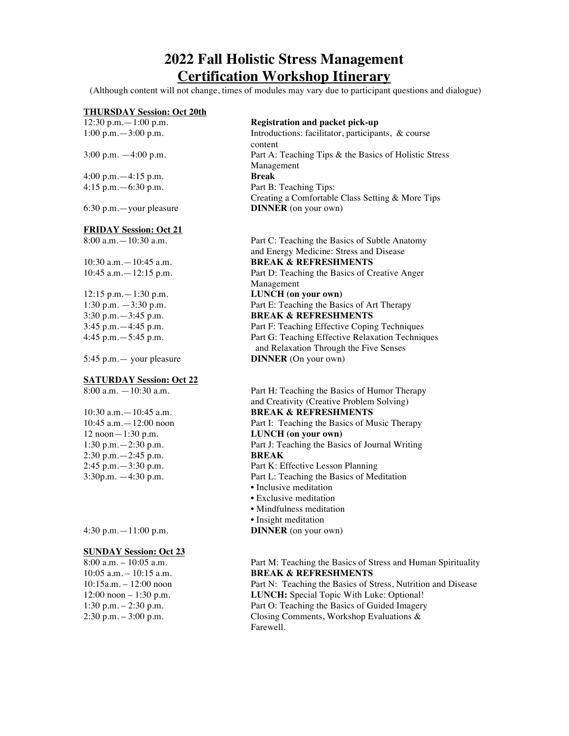## **2022 Fall Holistic Stress Management Certification Workshop Itinerary**

(Although content will not change, times of modules may vary due to participant questions and dialogue)

# **THURSDAY Session: Oct 20th**<br>12:30 p.m. - 1:00 p.m.

4:00 p.m.—4:15 p.m. **Break**

6:30 p.m.—your pleasure **DINNER** (on your own)

#### **FRIDAY Session: Oct 21**

#### **SATURDAY Session: Oct 22**

12 noon - 1:30 p.m.<br>
1:30 p.m. - 2:30 p.m.<br> **LUNCH (on your own)**<br>
Part J: Teaching the Basi 2:30 p.m.—2:45 p.m. **BREAK**

#### **SUNDAY Session: Oct 23**

#### **Registration and packet pick-up**

1:00 p.m.—3:00 p.m. Introductions: facilitator, participants, & course content 3:00 p.m. —4:00 p.m. Part A: Teaching Tips & the Basics of Holistic Stress Management 4:15 p.m.—6:30 p.m. Part B: Teaching Tips: Creating a Comfortable Class Setting & More Tips

8:00 a.m.—10:30 a.m. Part C: Teaching the Basics of Subtle Anatomy and Energy Medicine: Stress and Disease 10:30 a.m.—10:45 a.m. **BREAK & REFRESHMENTS** 10:45 a.m.—12:15 p.m. Part D: Teaching the Basics of Creative Anger Management 12:15 p.m.—1:30 p.m. **LUNCH (on your own)** 1:30 p.m. —3:30 p.m. Part E: Teaching the Basics of Art Therapy 3:30 p.m.—3:45 p.m. **BREAK & REFRESHMENTS** 3:45 p.m. -4:45 p.m.<br>4:45 p.m. Part F: Teaching Effective Coping Techniques<br>Part G: Teaching Effective Relaxation Technic Part G: Teaching Effective Relaxation Techniques

 and Relaxation Through the Five Senses 5:45 p.m.— your pleasure **DINNER** (On your own)

8:00 a.m. —10:30 a.m. Part H: Teaching the Basics of Humor Therapy and Creativity (Creative Problem Solving) 10:30 a.m.—10:45 a.m. **BREAK & REFRESHMENTS** 10:45 a.m.—12:00 noon Part I: Teaching the Basics of Music Therapy Part J: Teaching the Basics of Journal Writing 2:45 p.m.—3:30 p.m. Part K: Effective Lesson Planning 3:30p.m. —4:30 p.m. Part L: Teaching the Basics of Meditation • Inclusive meditation

- Exclusive meditation
- Mindfulness meditation
- Insight meditation
- 4:30 p.m.—11:00 p.m. **DINNER** (on your own)

#### 8:00 a.m. – 10:05 a.m. Part M: Teaching the Basics of Stress and Human Spirituality 10:05 a.m. – 10:15 a.m. **BREAK & REFRESHMENTS**

10:15a.m. – 12:00 noon Part N: Teaching the Basics of Stress, Nutrition and Disease 12:00 noon – 1:30 p.m. **LUNCH:** Special Topic With Luke: Optional! 1:30 p.m. – 2:30 p.m. Part O: Teaching the Basics of Guided Imagery 2:30 p.m. – 3:00 p.m. Closing Comments, Workshop Evaluations & Farewell.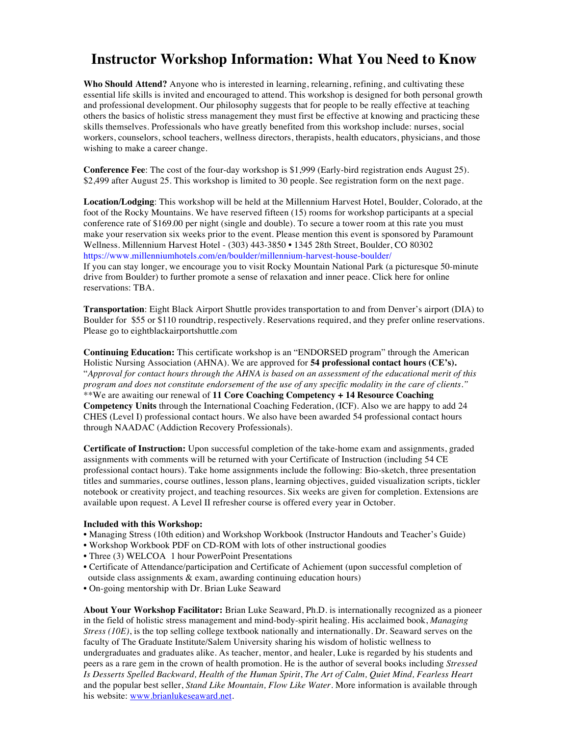### **Instructor Workshop Information: What You Need to Know**

**Who Should Attend?** Anyone who is interested in learning, relearning, refining, and cultivating these essential life skills is invited and encouraged to attend. This workshop is designed for both personal growth and professional development. Our philosophy suggests that for people to be really effective at teaching others the basics of holistic stress management they must first be effective at knowing and practicing these skills themselves. Professionals who have greatly benefited from this workshop include: nurses, social workers, counselors, school teachers, wellness directors, therapists, health educators, physicians, and those wishing to make a career change.

**Conference Fee**: The cost of the four-day workshop is \$1,999 (Early-bird registration ends August 25). \$2,499 after August 25. This workshop is limited to 30 people. See registration form on the next page.

**Location/Lodging**: This workshop will be held at the Millennium Harvest Hotel, Boulder, Colorado, at the foot of the Rocky Mountains. We have reserved fifteen (15) rooms for workshop participants at a special conference rate of \$169.00 per night (single and double). To secure a tower room at this rate you must make your reservation six weeks prior to the event. Please mention this event is sponsored by Paramount Wellness. Millennium Harvest Hotel - (303) 443-3850 • 1345 28th Street, Boulder, CO 80302 https://www.millenniumhotels.com/en/boulder/millennium-harvest-house-boulder/

If you can stay longer, we encourage you to visit Rocky Mountain National Park (a picturesque 50-minute drive from Boulder) to further promote a sense of relaxation and inner peace. Click here for online reservations: TBA.

**Transportation**: Eight Black Airport Shuttle provides transportation to and from Denver's airport (DIA) to Boulder for \$55 or \$110 roundtrip, respectively. Reservations required, and they prefer online reservations. Please go to eightblackairportshuttle.com

**Continuing Education:** This certificate workshop is an "ENDORSED program" through the American Holistic Nursing Association (AHNA). We are approved for **54 professional contact hours (CE's).** "*Approval for contact hours through the AHNA is based on an assessment of the educational merit of this program and does not constitute endorsement of the use of any specific modality in the care of clients."* \*\*We are awaiting our renewal of **11 Core Coaching Competency + 14 Resource Coaching Competency Units** through the International Coaching Federation, (ICF). Also we are happy to add 24 CHES (Level I) professional contact hours. We also have been awarded 54 professional contact hours through NAADAC (Addiction Recovery Professionals).

**Certificate of Instruction:** Upon successful completion of the take-home exam and assignments, graded assignments with comments will be returned with your Certificate of Instruction (including 54 CE professional contact hours). Take home assignments include the following: Bio-sketch, three presentation titles and summaries, course outlines, lesson plans, learning objectives, guided visualization scripts, tickler notebook or creativity project, and teaching resources. Six weeks are given for completion. Extensions are available upon request. A Level II refresher course is offered every year in October.

#### **Included with this Workshop:**

- Managing Stress (10th edition) and Workshop Workbook (Instructor Handouts and Teacher's Guide)
- Workshop Workbook PDF on CD-ROM with lots of other instructional goodies
- Three (3) WELCOA 1 hour PowerPoint Presentations
- Certificate of Attendance/participation and Certificate of Achiement (upon successful completion of outside class assignments & exam, awarding continuing education hours)
- On-going mentorship with Dr. Brian Luke Seaward

**About Your Workshop Facilitator:** Brian Luke Seaward, Ph.D. is internationally recognized as a pioneer in the field of holistic stress management and mind-body-spirit healing. His acclaimed book, *Managing Stress (10E)*, is the top selling college textbook nationally and internationally. Dr. Seaward serves on the faculty of The Graduate Institute/Salem University sharing his wisdom of holistic wellness to undergraduates and graduates alike. As teacher, mentor, and healer, Luke is regarded by his students and peers as a rare gem in the crown of health promotion. He is the author of several books including *Stressed Is Desserts Spelled Backward, Health of the Human Spirit*, *The Art of Calm, Quiet Mind, Fearless Heart*  and the popular best seller, *Stand Like Mountain, Flow Like Water*. More information is available through his website: www.brianlukeseaward.net.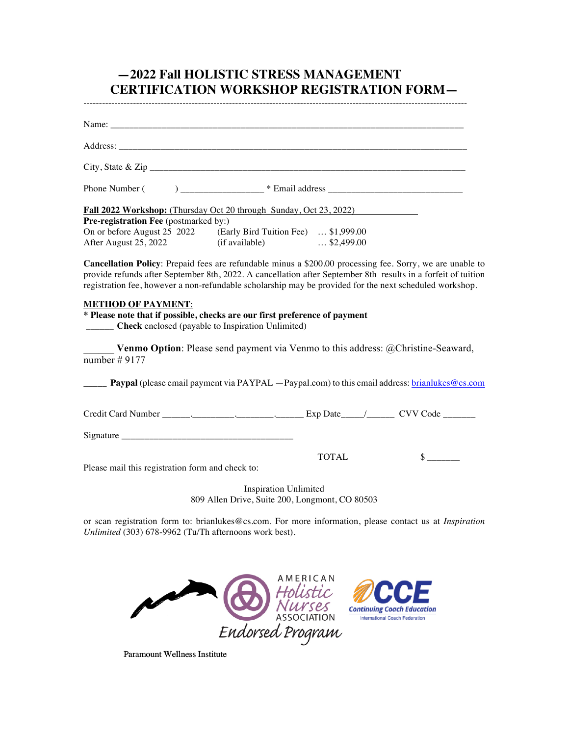### **—2022 Fall HOLISTIC STRESS MANAGEMENT CERTIFICATION WORKSHOP REGISTRATION FORM—**

----------------------------------------------------------------------------------------------------------------------------

| $\text{City}, \text{State} \& \text{Zip } \_\_\_\_\_\_\_\$                                                                                                                                                                                                                                                                            |                                             |
|---------------------------------------------------------------------------------------------------------------------------------------------------------------------------------------------------------------------------------------------------------------------------------------------------------------------------------------|---------------------------------------------|
|                                                                                                                                                                                                                                                                                                                                       |                                             |
| Fall 2022 Workshop: (Thursday Oct 20 through Sunday, Oct 23, 2022)                                                                                                                                                                                                                                                                    |                                             |
| Pre-registration Fee (postmarked by:)<br>On or before August 25 2022 (Early Bird Tuition Fee)  \$1,999.00<br>After August 25, 2022 (if available)  \$2,499.00                                                                                                                                                                         |                                             |
| Cancellation Policy: Prepaid fees are refundable minus a \$200.00 processing fee. Sorry, we are unable to<br>provide refunds after September 8th, 2022. A cancellation after September 8th results in a forfeit of tuition<br>registration fee, however a non-refundable scholarship may be provided for the next scheduled workshop. |                                             |
| <b>METHOD OF PAYMENT:</b><br>* Please note that if possible, checks are our first preference of payment<br><b>Check</b> enclosed (payable to Inspiration Unlimited)                                                                                                                                                                   |                                             |
| Venmo Option: Please send payment via Venmo to this address: @Christine-Seaward,<br>number $#9177$                                                                                                                                                                                                                                    |                                             |
| <b>Paypal</b> (please email payment via PAYPAL $-$ Paypal.com) to this email address: brianlukes @cs.com                                                                                                                                                                                                                              |                                             |
|                                                                                                                                                                                                                                                                                                                                       |                                             |
|                                                                                                                                                                                                                                                                                                                                       |                                             |
| Please mail this registration form and check to:                                                                                                                                                                                                                                                                                      | $\frac{\text{S}}{\text{S}}$<br><b>TOTAL</b> |
| <b>Inspiration Unlimited</b><br>809 Allen Drive, Suite 200, Longmont, CO 80503                                                                                                                                                                                                                                                        |                                             |

or scan registration form to: brianlukes@cs.com. For more information, please contact us at *Inspiration Unlimited* (303) 678-9962 (Tu/Th afternoons work best).



Paramount Wellness Institute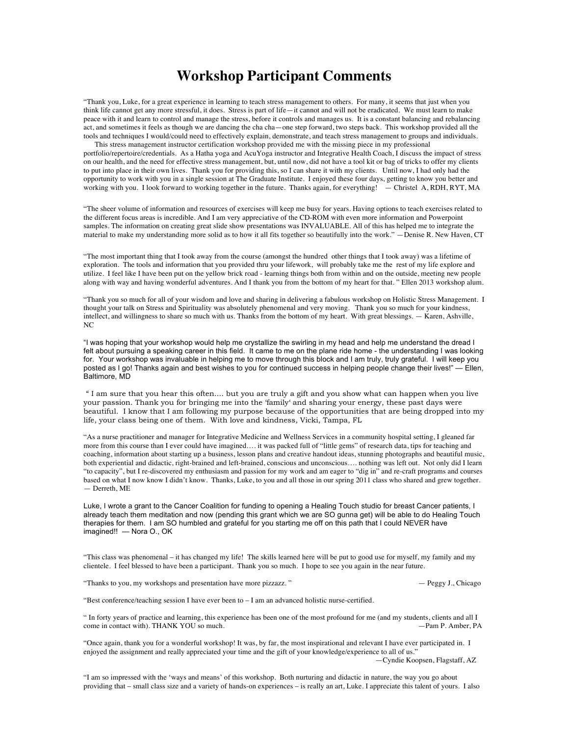### **Workshop Participant Comments**

"Thank you, Luke, for a great experience in learning to teach stress management to others. For many, it seems that just when you think life cannot get any more stressful, it does. Stress is part of life—it cannot and will not be eradicated. We must learn to make peace with it and learn to control and manage the stress, before it controls and manages us. It is a constant balancing and rebalancing act, and sometimes it feels as though we are dancing the cha cha—one step forward, two steps back. This workshop provided all the tools and techniques I would/could need to effectively explain, demonstrate, and teach stress management to groups and individuals.

 This stress management instructor certification workshop provided me with the missing piece in my professional portfolio/repertoire/credentials. As a Hatha yoga and AcuYoga instructor and Integrative Health Coach, I discuss the impact of stress on our health, and the need for effective stress management, but, until now, did not have a tool kit or bag of tricks to offer my clients to put into place in their own lives. Thank you for providing this, so I can share it with my clients. Until now, I had only had the opportunity to work with you in a single session at The Graduate Institute. I enjoyed these four days, getting to know you better and working with you. I look forward to working together in the future. Thanks again, for everything! — Christel A, RDH, RYT, MA

"The sheer volume of information and resources of exercises will keep me busy for years. Having options to teach exercises related to the different focus areas is incredible. And I am very appreciative of the CD-ROM with even more information and Powerpoint samples. The information on creating great slide show presentations was INVALUABLE. All of this has helped me to integrate the material to make my understanding more solid as to how it all fits together so beautifully into the work." —Denise R. New Haven, CT

"The most important thing that I took away from the course (amongst the hundred other things that I took away) was a lifetime of exploration. The tools and information that you provided thru your lifework, will probably take me the rest of my life explore and utilize. I feel like I have been put on the yellow brick road - learning things both from within and on the outside, meeting new people along with way and having wonderful adventures. And I thank you from the bottom of my heart for that. " Ellen 2013 workshop alum.

"Thank you so much for all of your wisdom and love and sharing in delivering a fabulous workshop on Holistic Stress Management. I thought your talk on Stress and Spirituality was absolutely phenomenal and very moving. Thank you so much for your kindness, intellect, and willingness to share so much with us. Thanks from the bottom of my heart. With great blessings. — Karen, Ashville, NC

"I was hoping that your workshop would help me crystallize the swirling in my head and help me understand the dread I felt about pursuing a speaking career in this field. It came to me on the plane ride home - the understanding I was looking for. Your workshop was invaluable in helping me to move through this block and I am truly, truly grateful. I will keep you posted as I go! Thanks again and best wishes to you for continued success in helping people change their lives!" — Ellen, Baltimore, MD

" I am sure that you hear this often.... but you are truly a gift and you show what can happen when you live your passion. Thank you for bringing me into the 'family' and sharing your energy, these past days were beautiful. I know that I am following my purpose because of the opportunities that are being dropped into my life, your class being one of them. With love and kindness, Vicki, Tampa, FL

"As a nurse practitioner and manager for Integrative Medicine and Wellness Services in a community hospital setting, I gleaned far more from this course than I ever could have imagined…. it was packed full of "little gems" of research data, tips for teaching and coaching, information about starting up a business, lesson plans and creative handout ideas, stunning photographs and beautiful music, both experiential and didactic, right-brained and left-brained, conscious and unconscious…. nothing was left out. Not only did I learn "to capacity", but I re-discovered my enthusiasm and passion for my work and am eager to "dig in" and re-craft programs and courses based on what I now know I didn't know. Thanks, Luke, to you and all those in our spring 2011 class who shared and grew together. — Derreth, ME

Luke, I wrote a grant to the Cancer Coalition for funding to opening a Healing Touch studio for breast Cancer patients, I already teach them meditation and now (pending this grant which we are SO gunna get) will be able to do Healing Touch therapies for them. I am SO humbled and grateful for you starting me off on this path that I could NEVER have imagined!! — Nora O., OK

"This class was phenomenal – it has changed my life! The skills learned here will be put to good use for myself, my family and my clientele. I feel blessed to have been a participant. Thank you so much. I hope to see you again in the near future.

"Thanks to you, my workshops and presentation have more pizzazz. " — Peggy J., Chicago

"Best conference/teaching session I have ever been to – I am an advanced holistic nurse-certified.

" In forty years of practice and learning, this experience has been one of the most profound for me (and my students, clients and all I come in contact with). THANK YOU so much.  $-Pan P$ . Amber, PA

"Once again, thank you for a wonderful workshop! It was, by far, the most inspirational and relevant I have ever participated in. I enjoyed the assignment and really appreciated your time and the gift of your knowledge/experience to all of us."

—Cyndie Koopsen, Flagstaff, AZ

"I am so impressed with the 'ways and means' of this workshop. Both nurturing and didactic in nature, the way you go about providing that – small class size and a variety of hands-on experiences – is really an art, Luke. I appreciate this talent of yours. I also